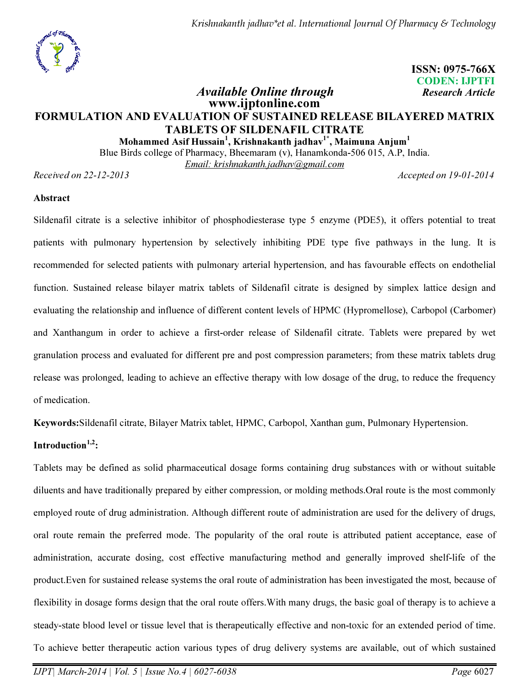Krishnakanth jadhav\*et al. International Journal Of Pharmacy & Technology



 ISSN: 0975-766X CODEN: IJPTFI Available Online through Research Article

# www.ijptonline.com FORMULATION AND EVALUATION OF SUSTAINED RELEASE BILAYERED MATRIX TABLETS OF SILDENAFIL CITRATE

Mohammed Asif Hussain $^{\rm l}$ , Krishnakanth jadhav $^{\rm l}$ \*, Maimuna Anjum $^{\rm l}$ 

Blue Birds college of Pharmacy, Bheemaram (v), Hanamkonda-506 015, A.P, India.

*Email: krishnakanth.jadhav@gmail.com*

*Received on 22-12-2013 Accepted on 19-01-2014*

#### Abstract

Sildenafil citrate is a selective inhibitor of phosphodiesterase type 5 enzyme (PDE5), it offers potential to treat patients with pulmonary hypertension by selectively inhibiting PDE type five pathways in the lung. It is recommended for selected patients with pulmonary arterial hypertension, and has favourable effects on endothelial function. Sustained release bilayer matrix tablets of Sildenafil citrate is designed by simplex lattice design and evaluating the relationship and influence of different content levels of HPMC (Hypromellose), Carbopol (Carbomer) and Xanthangum in order to achieve a first-order release of Sildenafil citrate. Tablets were prepared by wet granulation process and evaluated for different pre and post compression parameters; from these matrix tablets drug release was prolonged, leading to achieve an effective therapy with low dosage of the drug, to reduce the frequency of medication.

Keywords:Sildenafil citrate, Bilayer Matrix tablet, HPMC, Carbopol, Xanthan gum, Pulmonary Hypertension.

## Introduction $1,2$ :

Tablets may be defined as solid pharmaceutical dosage forms containing drug substances with or without suitable diluents and have traditionally prepared by either compression, or molding methods.Oral route is the most commonly employed route of drug administration. Although different route of administration are used for the delivery of drugs, oral route remain the preferred mode. The popularity of the oral route is attributed patient acceptance, ease of administration, accurate dosing, cost effective manufacturing method and generally improved shelf-life of the product.Even for sustained release systems the oral route of administration has been investigated the most, because of flexibility in dosage forms design that the oral route offers.With many drugs, the basic goal of therapy is to achieve a steady-state blood level or tissue level that is therapeutically effective and non-toxic for an extended period of time. To achieve better therapeutic action various types of drug delivery systems are available, out of which sustained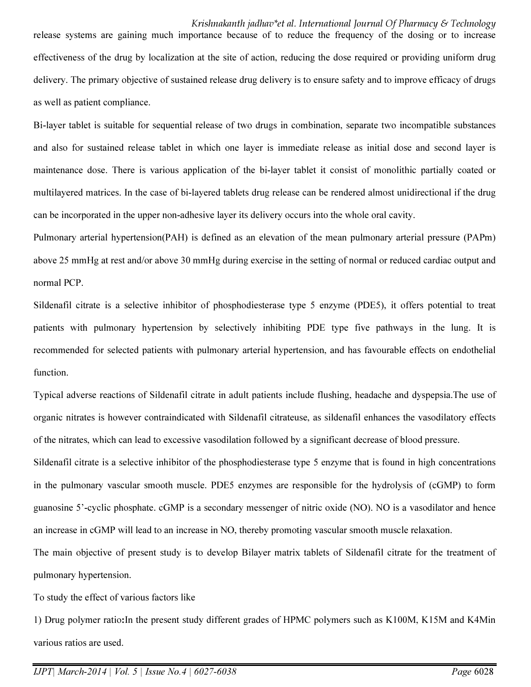Krishnakanth jadhav\*et al. International Journal Of Pharmacy & Technology release systems are gaining much importance because of to reduce the frequency of the dosing or to increase effectiveness of the drug by localization at the site of action, reducing the dose required or providing uniform drug delivery. The primary objective of sustained release drug delivery is to ensure safety and to improve efficacy of drugs as well as patient compliance.

Bi-layer tablet is suitable for sequential release of two drugs in combination, separate two incompatible substances and also for sustained release tablet in which one layer is immediate release as initial dose and second layer is maintenance dose. There is various application of the bi-layer tablet it consist of monolithic partially coated or multilayered matrices. In the case of bi-layered tablets drug release can be rendered almost unidirectional if the drug can be incorporated in the upper non-adhesive layer its delivery occurs into the whole oral cavity.

Pulmonary arterial hypertension(PAH) is defined as an elevation of the mean pulmonary arterial pressure (PAPm) above 25 mmHg at rest and/or above 30 mmHg during exercise in the setting of normal or reduced cardiac output and normal PCP.

Sildenafil citrate is a selective inhibitor of phosphodiesterase type 5 enzyme (PDE5), it offers potential to treat patients with pulmonary hypertension by selectively inhibiting PDE type five pathways in the lung. It is recommended for selected patients with pulmonary arterial hypertension, and has favourable effects on endothelial function.

Typical adverse reactions of Sildenafil citrate in adult patients include flushing, headache and dyspepsia.The use of organic nitrates is however contraindicated with Sildenafil citrateuse, as sildenafil enhances the vasodilatory effects of the nitrates, which can lead to excessive vasodilation followed by a significant decrease of blood pressure.

Sildenafil citrate is a selective inhibitor of the phosphodiesterase type 5 enzyme that is found in high concentrations in the pulmonary vascular smooth muscle. PDE5 enzymes are responsible for the hydrolysis of (cGMP) to form guanosine 5'-cyclic phosphate. cGMP is a secondary messenger of nitric oxide (NO). NO is a vasodilator and hence an increase in cGMP will lead to an increase in NO, thereby promoting vascular smooth muscle relaxation.

The main objective of present study is to develop Bilayer matrix tablets of Sildenafil citrate for the treatment of pulmonary hypertension.

To study the effect of various factors like

1) Drug polymer ratio:In the present study different grades of HPMC polymers such as K100M, K15M and K4Min various ratios are used.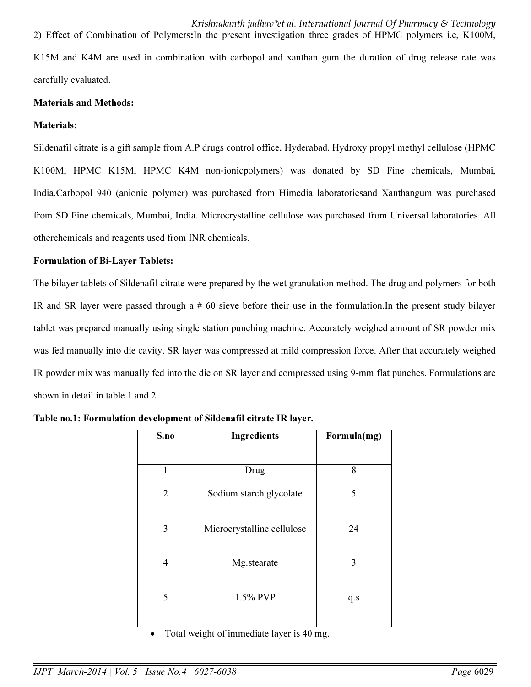Krishnakanth jadhav\*et al. International Journal Of Pharmacy & Technology 2) Effect of Combination of Polymers:In the present investigation three grades of HPMC polymers i.e, K100M, K15M and K4M are used in combination with carbopol and xanthan gum the duration of drug release rate was carefully evaluated.

#### Materials and Methods:

#### Materials:

Sildenafil citrate is a gift sample from A.P drugs control office, Hyderabad. Hydroxy propyl methyl cellulose (HPMC K100M, HPMC K15M, HPMC K4M non‐ionicpolymers) was donated by SD Fine chemicals, Mumbai, India.Carbopol 940 (anionic polymer) was purchased from Himedia laboratoriesand Xanthangum was purchased from SD Fine chemicals, Mumbai, India. Microcrystalline cellulose was purchased from Universal laboratories. All otherchemicals and reagents used from INR chemicals.

#### Formulation of Bi-Layer Tablets:

The bilayer tablets of Sildenafil citrate were prepared by the wet granulation method. The drug and polymers for both IR and SR layer were passed through a # 60 sieve before their use in the formulation.In the present study bilayer tablet was prepared manually using single station punching machine. Accurately weighed amount of SR powder mix was fed manually into die cavity. SR layer was compressed at mild compression force. After that accurately weighed IR powder mix was manually fed into the die on SR layer and compressed using 9-mm flat punches. Formulations are shown in detail in table 1 and 2.

| S.no           | <b>Ingredients</b>         | Formula(mg) |
|----------------|----------------------------|-------------|
|                |                            |             |
|                | Drug                       | 8           |
| $\overline{2}$ | Sodium starch glycolate    | 5           |
| 3              | Microcrystalline cellulose | 24          |
| 4              | Mg.stearate                | 3           |
| 5              | 1.5% PVP                   | q.s         |

Table no.1: Formulation development of Sildenafil citrate IR layer.

Total weight of immediate layer is 40 mg.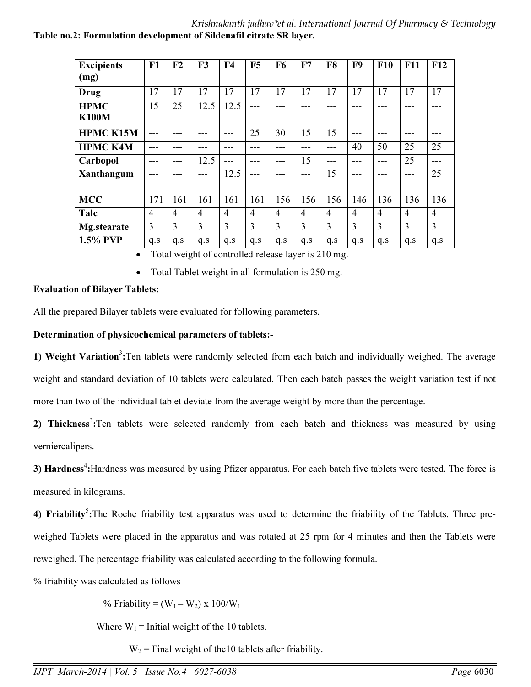#### Krishnakanth jadhav\*et al. International Journal Of Pharmacy & Technology Table no.2: Formulation development of Sildenafil citrate SR layer.

| <b>Excipients</b>  | F1             | F <sub>2</sub> | F3             | F <sub>4</sub> | F5             | F6             | F7             | F8  | F9             | F10            | F11            | F12            |
|--------------------|----------------|----------------|----------------|----------------|----------------|----------------|----------------|-----|----------------|----------------|----------------|----------------|
| (mg)               |                |                |                |                |                |                |                |     |                |                |                |                |
| Drug               | 17             | 17             | 17             | 17             | 17             | 17             | 17             | 17  | 17             | 17             | 17             | 17             |
| <b>HPMC</b>        | 15             | 25             | 12.5           | 12.5           | ---            | ---            | ---            | --- | ---            | ---            |                |                |
| <b>K100M</b>       |                |                |                |                |                |                |                |     |                |                |                |                |
| <b>HPMC K15M</b>   |                |                |                |                | 25             | 30             | 15             | 15  |                |                |                |                |
| <b>HPMC K4M</b>    | ---            |                | ---            |                | ---            | ---            | ---            | --- | 40             | 50             | 25             | 25             |
| Carbopol           | ---            | ---            | 12.5           | ---            |                | ---            | 15             | --- | ---            | ---            | 25             | ---            |
| Xanthangum         | ---            |                | ---            | 12.5           | ---            | ---            | ---            | 15  | ---            |                | ---            | 25             |
|                    |                |                |                |                |                |                |                |     |                |                |                |                |
| <b>MCC</b>         | 171            | 161            | 161            | 161            | 161            | 156            | 156            | 156 | 146            | 136            | 136            | 136            |
| Talc               | $\overline{4}$ | $\overline{4}$ | $\overline{4}$ | $\overline{4}$ | $\overline{4}$ | $\overline{4}$ | $\overline{4}$ | 4   | $\overline{4}$ | $\overline{4}$ | $\overline{4}$ | $\overline{4}$ |
| <b>Mg.stearate</b> | 3              | 3              | 3              | 3              | 3              | 3              | 3              | 3   | 3              | 3              | 3              | 3              |
| 1.5% PVP           | q.s            | q.s            | q.s            | q.s            | q.s            | q.s            | q.s            | q.s | q.s            | q.s            | q.s            | q.s            |

• Total weight of controlled release layer is 210 mg.

• Total Tablet weight in all formulation is 250 mg.

#### Evaluation of Bilayer Tablets:

All the prepared Bilayer tablets were evaluated for following parameters.

#### Determination of physicochemical parameters of tablets:-

1) Weight Variation<sup>3</sup>: Ten tablets were randomly selected from each batch and individually weighed. The average weight and standard deviation of 10 tablets were calculated. Then each batch passes the weight variation test if not more than two of the individual tablet deviate from the average weight by more than the percentage.

2) Thickness<sup>3</sup>: Ten tablets were selected randomly from each batch and thickness was measured by using verniercalipers.

3) Hardness<sup>4</sup>: Hardness was measured by using Pfizer apparatus. For each batch five tablets were tested. The force is measured in kilograms.

4) Friability<sup>5</sup>: The Roche friability test apparatus was used to determine the friability of the Tablets. Three preweighed Tablets were placed in the apparatus and was rotated at 25 rpm for 4 minutes and then the Tablets were reweighed. The percentage friability was calculated according to the following formula.

% friability was calculated as follows

% Friability =  $(W_1 - W_2) \times 100/W_1$ 

Where  $W_1$  = Initial weight of the 10 tablets.

 $W_2$  = Final weight of the10 tablets after friability.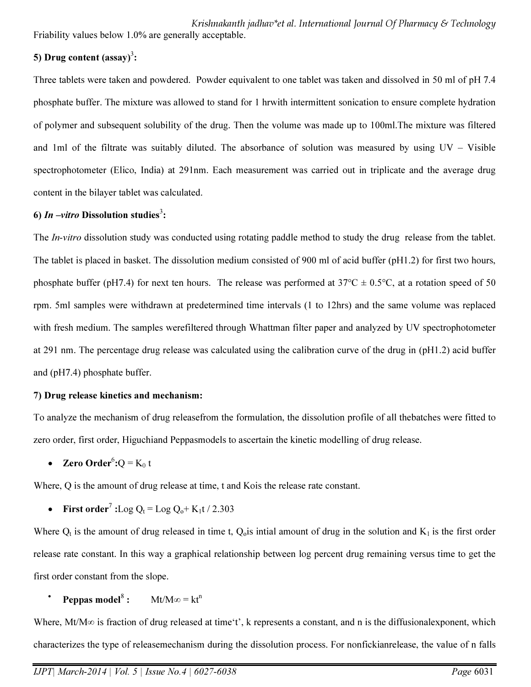Krishnakanth jadhav\*et al. International Journal Of Pharmacy & Technology Friability values below 1.0% are generally acceptable.

# 5) Drug content  $(sssay)^3$ :

Three tablets were taken and powdered. Powder equivalent to one tablet was taken and dissolved in 50 ml of pH 7.4 phosphate buffer. The mixture was allowed to stand for 1 hrwith intermittent sonication to ensure complete hydration of polymer and subsequent solubility of the drug. Then the volume was made up to 100ml.The mixture was filtered and 1ml of the filtrate was suitably diluted. The absorbance of solution was measured by using UV – Visible spectrophotometer (Elico, India) at 291nm. Each measurement was carried out in triplicate and the average drug content in the bilayer tablet was calculated.

# 6) In  $-vitro$  Dissolution studies<sup>3</sup>:

The *In-vitro* dissolution study was conducted using rotating paddle method to study the drug release from the tablet. The tablet is placed in basket. The dissolution medium consisted of 900 ml of acid buffer (pH1.2) for first two hours, phosphate buffer (pH7.4) for next ten hours. The release was performed at  $37^{\circ}\text{C} \pm 0.5^{\circ}\text{C}$ , at a rotation speed of 50 rpm. 5ml samples were withdrawn at predetermined time intervals (1 to 12hrs) and the same volume was replaced with fresh medium. The samples werefiltered through Whattman filter paper and analyzed by UV spectrophotometer at 291 nm. The percentage drug release was calculated using the calibration curve of the drug in (pH1.2) acid buffer and (pH7.4) phosphate buffer.

#### 7) Drug release kinetics and mechanism:

To analyze the mechanism of drug releasefrom the formulation, the dissolution profile of all thebatches were fitted to zero order, first order, Higuchiand Peppasmodels to ascertain the kinetic modelling of drug release.

• Zero Order<sup>6</sup>: $Q = K_0 t$ 

Where, Q is the amount of drug release at time, t and Kois the release rate constant.

• First order<sup>7</sup>: Log  $Q_t =$  Log  $Q_0 + K_1t / 2.303$ 

Where  $Q_t$  is the amount of drug released in time t,  $Q_0$  is intial amount of drug in the solution and  $K_1$  is the first order release rate constant. In this way a graphical relationship between log percent drug remaining versus time to get the first order constant from the slope.

• Peppas model<sup>8</sup>:  $Mt/M\infty = kt^n$ 

Where, Mt/M∞ is fraction of drug released at time't', k represents a constant, and n is the diffusionalexponent, which characterizes the type of releasemechanism during the dissolution process. For nonfickianrelease, the value of n falls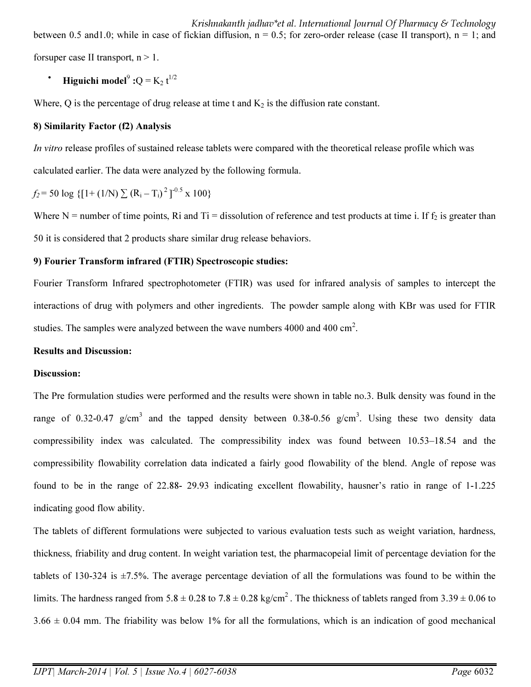Krishnakanth jadhav\*et al. International Journal Of Pharmacy & Technology between 0.5 and 1.0; while in case of fickian diffusion,  $n = 0.5$ ; for zero-order release (case II transport),  $n = 1$ ; and for super case II transport,  $n > 1$ .

• Higuichi model<sup>9</sup>: $Q = K_2 t^{1/2}$ 

Where,  $Q$  is the percentage of drug release at time t and  $K_2$  is the diffusion rate constant.

#### 8) Similarity Factor (f2) Analysis

*In vitro* release profiles of sustained release tablets were compared with the theoretical release profile which was calculated earlier. The data were analyzed by the following formula.

$$
f_2 = 50 \log \{ [1 + (1/N) \sum (R_i - T_i)^2 ]^{0.5} \times 100 \}
$$

Where N = number of time points, Ri and Ti = dissolution of reference and test products at time i. If  $f_2$  is greater than 50 it is considered that 2 products share similar drug release behaviors.

#### 9) Fourier Transform infrared (FTIR) Spectroscopic studies:

Fourier Transform Infrared spectrophotometer (FTIR) was used for infrared analysis of samples to intercept the interactions of drug with polymers and other ingredients. The powder sample along with KBr was used for FTIR studies. The samples were analyzed between the wave numbers 4000 and 400 cm<sup>2</sup>.

#### Results and Discussion:

#### Discussion:

The Pre formulation studies were performed and the results were shown in table no.3. Bulk density was found in the range of 0.32-0.47 g/cm<sup>3</sup> and the tapped density between 0.38-0.56 g/cm<sup>3</sup>. Using these two density data compressibility index was calculated. The compressibility index was found between 10.53–18.54 and the compressibility flowability correlation data indicated a fairly good flowability of the blend. Angle of repose was found to be in the range of 22.88- 29.93 indicating excellent flowability, hausner's ratio in range of 1-1.225 indicating good flow ability.

The tablets of different formulations were subjected to various evaluation tests such as weight variation, hardness, thickness, friability and drug content. In weight variation test, the pharmacopeial limit of percentage deviation for the tablets of 130-324 is ±7.5%. The average percentage deviation of all the formulations was found to be within the limits. The hardness ranged from  $5.8 \pm 0.28$  to  $7.8 \pm 0.28$  kg/cm<sup>2</sup>. The thickness of tablets ranged from  $3.39 \pm 0.06$  to  $3.66 \pm 0.04$  mm. The friability was below 1% for all the formulations, which is an indication of good mechanical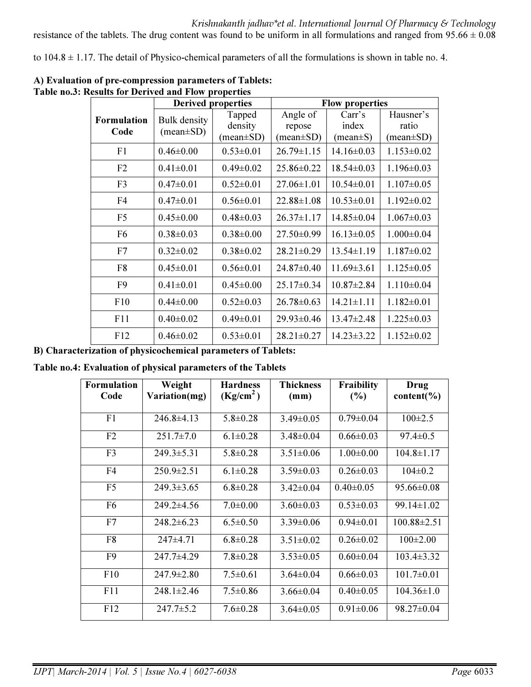resistance of the tablets. The drug content was found to be uniform in all formulations and ranged from  $95.66 \pm 0.08$ 

to  $104.8 \pm 1.17$ . The detail of Physico-chemical parameters of all the formulations is shown in table no. 4.

|                    | <b>Derived properties</b> |                               | <b>Flow properties</b> |                  |                               |  |
|--------------------|---------------------------|-------------------------------|------------------------|------------------|-------------------------------|--|
| <b>Formulation</b> | <b>Bulk density</b>       | Tapped                        | Angle of               | Carr's           | Hausner's                     |  |
| Code               | $(mean \pm SD)$           | density                       | repose                 | index            | ratio                         |  |
|                    |                           | $(\text{mean} \pm \text{SD})$ | $(\text{mean} \pm SD)$ | $(mean \pm S)$   | $(\text{mean} \pm \text{SD})$ |  |
| F1                 | $0.46 \pm 0.00$           | $0.53 \pm 0.01$               | $26.79 \pm 1.15$       | $14.16 \pm 0.03$ | $1.153 \pm 0.02$              |  |
| F2                 | $0.41 \pm 0.01$           | $0.49 \pm 0.02$               | 25.86±0.22             | $18.54 \pm 0.03$ | $1.196 \pm 0.03$              |  |
| F <sub>3</sub>     | $0.47 \pm 0.01$           | $0.52 \pm 0.01$               | $27.06 \pm 1.01$       | $10.54 \pm 0.01$ | $1.107 \pm 0.05$              |  |
| F <sub>4</sub>     | $0.47 \pm 0.01$           | $0.56 \pm 0.01$               | $22.88 \pm 1.08$       | $10.53 \pm 0.01$ | $1.192 \pm 0.02$              |  |
| F <sub>5</sub>     | $0.45 \pm 0.00$           | $0.48 \pm 0.03$               | $26.37 \pm 1.17$       | $14.85 \pm 0.04$ | $1.067 \pm 0.03$              |  |
| F <sub>6</sub>     | $0.38 \pm 0.03$           | $0.38 \pm 0.00$               | $27.50 \pm 0.99$       | $16.13 \pm 0.05$ | $1.000 \pm 0.04$              |  |
| F7                 | $0.32 \pm 0.02$           | $0.38 \pm 0.02$               | $28.21 \pm 0.29$       | $13.54 \pm 1.19$ | $1.187 \pm 0.02$              |  |
| F <sub>8</sub>     | $0.45 \pm 0.01$           | $0.56 \pm 0.01$               | 24.87±0.40             | $11.69 \pm 3.61$ | $1.125 \pm 0.05$              |  |
| F <sub>9</sub>     | $0.41 \pm 0.01$           | $0.45 \pm 0.00$               | $25.17 \pm 0.34$       | $10.87 \pm 2.84$ | $1.110 \pm 0.04$              |  |
| F10                | $0.44 \pm 0.00$           | $0.52 \pm 0.03$               | $26.78 \pm 0.63$       | $14.21 \pm 1.11$ | $1.182 \pm 0.01$              |  |
| F11                | $0.40 \pm 0.02$           | $0.49 \pm 0.01$               | 29.93±0.46             | $13.47 \pm 2.48$ | $1.225 \pm 0.03$              |  |
| F12                | $0.46 \pm 0.02$           | $0.53 \pm 0.01$               | $28.21 \pm 0.27$       | $14.23 \pm 3.22$ | $1.152 \pm 0.02$              |  |

A) Evaluation of pre-compression parameters of Tablets: Table no.3: Results for Derived and Flow properties

B) Characterization of physicochemical parameters of Tablets:

Table no.4: Evaluation of physical parameters of the Tablets

| <b>Formulation</b><br>Code | Weight<br>Variation(mg) | <b>Hardness</b><br>(Kg/cm <sup>2</sup> ) | <b>Thickness</b><br>$(\mathbf{mm})$ | Fraibility<br>(%) | Drug<br>content( $\%$ ) |
|----------------------------|-------------------------|------------------------------------------|-------------------------------------|-------------------|-------------------------|
| F1                         | $246.8 \pm 4.13$        | $5.8 \pm 0.28$                           | $3.49 \pm 0.05$                     | $0.79 \pm 0.04$   | $100\pm2.5$             |
| F2                         | $251.7 \pm 7.0$         | $6.1 \pm 0.28$                           | $3.48 \pm 0.04$                     | $0.66 \pm 0.03$   | $97.4 \pm 0.5$          |
| F <sub>3</sub>             | $249.3 \pm 5.31$        | $5.8 \pm 0.28$                           | $3.51 \pm 0.06$                     | $1.00 \pm 0.00$   | $104.8 \pm 1.17$        |
| F4                         | $250.9 \pm 2.51$        | $6.1 \pm 0.28$                           | $3.59 \pm 0.03$                     | $0.26 \pm 0.03$   | $104 \pm 0.2$           |
| F <sub>5</sub>             | $249.3 \pm 3.65$        | $6.8 \pm 0.28$                           | $3.42\pm0.04$                       | $0.40 \pm 0.05$   | $95.66 \pm 0.08$        |
| F <sub>6</sub>             | $249.2\pm4.56$          | $7.0 \pm 0.00$                           | $3.60 \pm 0.03$                     | $0.53 \pm 0.03$   | $99.14 \pm 1.02$        |
| F7                         | $248.2 \pm 6.23$        | $6.5 \pm 0.50$                           | $3.39 \pm 0.06$                     | $0.94 \pm 0.01$   | $100.88 \pm 2.51$       |
| F8                         | $247\pm4.71$            | $6.8 \pm 0.28$                           | $3.51 \pm 0.02$                     | $0.26 \pm 0.02$   | $100\pm2.00$            |
| F <sub>9</sub>             | $247.7 \pm 4.29$        | $7.8 \pm 0.28$                           | $3.53 \pm 0.05$                     | $0.60 \pm 0.04$   | $103.4 \pm 3.32$        |
| F10                        | $247.9 \pm 2.80$        | $7.5 \pm 0.61$                           | $3.64\pm0.04$                       | $0.66 \pm 0.03$   | $101.7\pm0.01$          |
| F11                        | $248.1 \pm 2.46$        | $7.5 \pm 0.86$                           | $3.66 \pm 0.04$                     | $0.40 \pm 0.05$   | $104.36 \pm 1.0$        |
| F12                        | $247.7 \pm 5.2$         | $7.6 \pm 0.28$                           | $3.64 \pm 0.05$                     | $0.91 \pm 0.06$   | $98.27 \pm 0.04$        |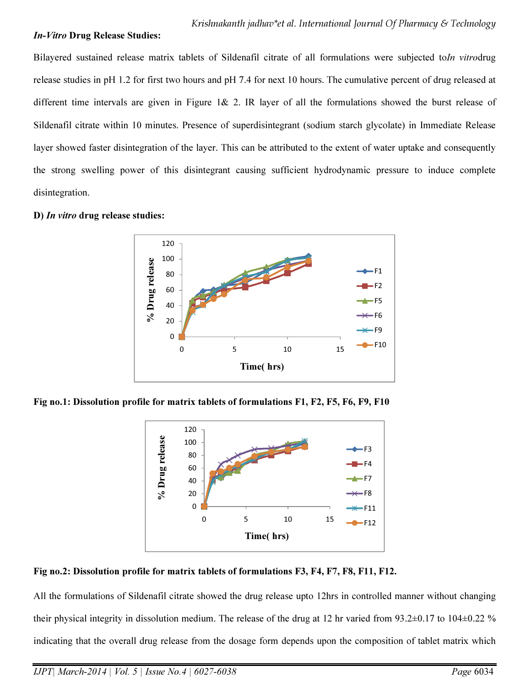#### In-Vitro Drug Release Studies:

Bilayered sustained release matrix tablets of Sildenafil citrate of all formulations were subjected to*In vitro*drug release studies in pH 1.2 for first two hours and pH 7.4 for next 10 hours. The cumulative percent of drug released at different time intervals are given in Figure 1& 2. IR layer of all the formulations showed the burst release of Sildenafil citrate within 10 minutes. Presence of superdisintegrant (sodium starch glycolate) in Immediate Release layer showed faster disintegration of the layer. This can be attributed to the extent of water uptake and consequently the strong swelling power of this disintegrant causing sufficient hydrodynamic pressure to induce complete disintegration.



#### D) In vitro drug release studies:

Fig no.1: Dissolution profile for matrix tablets of formulations F1, F2, F5, F6, F9, F10



#### Fig no.2: Dissolution profile for matrix tablets of formulations F3, F4, F7, F8, F11, F12.

All the formulations of Sildenafil citrate showed the drug release upto 12hrs in controlled manner without changing their physical integrity in dissolution medium. The release of the drug at 12 hr varied from  $93.2\pm0.17$  to  $104\pm0.22$  % indicating that the overall drug release from the dosage form depends upon the composition of tablet matrix which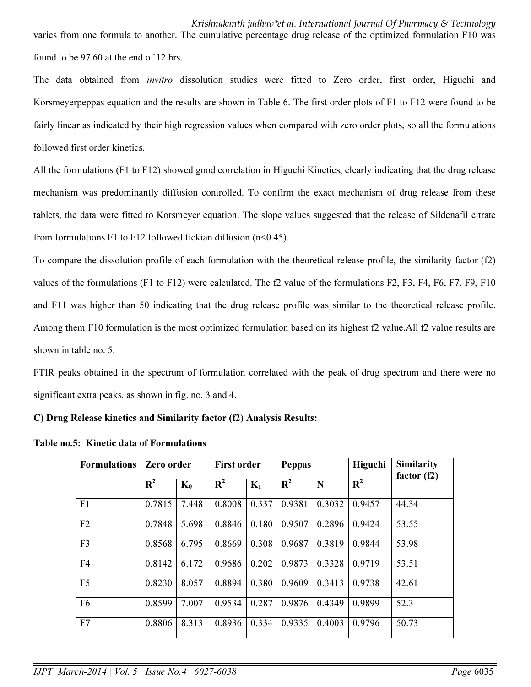Krishnakanth jadhav\*et al. International Journal Of Pharmacy & Technology varies from one formula to another. The cumulative percentage drug release of the optimized formulation F10 was found to be 97.60 at the end of 12 hrs.

The data obtained from *invitro* dissolution studies were fitted to Zero order, first order, Higuchi and Korsmeyerpeppas equation and the results are shown in Table 6. The first order plots of F1 to F12 were found to be fairly linear as indicated by their high regression values when compared with zero order plots, so all the formulations followed first order kinetics.

All the formulations (F1 to F12) showed good correlation in Higuchi Kinetics, clearly indicating that the drug release mechanism was predominantly diffusion controlled. To confirm the exact mechanism of drug release from these tablets, the data were fitted to Korsmeyer equation. The slope values suggested that the release of Sildenafil citrate from formulations F1 to F12 followed fickian diffusion  $(n<0.45)$ .

To compare the dissolution profile of each formulation with the theoretical release profile, the similarity factor (f2) values of the formulations (F1 to F12) were calculated. The f2 value of the formulations F2, F3, F4, F6, F7, F9, F10 and F11 was higher than 50 indicating that the drug release profile was similar to the theoretical release profile. Among them F10 formulation is the most optimized formulation based on its highest f2 value.All f2 value results are shown in table no. 5.

FTIR peaks obtained in the spectrum of formulation correlated with the peak of drug spectrum and there were no significant extra peaks, as shown in fig. no. 3 and 4.

C) Drug Release kinetics and Similarity factor (f2) Analysis Results:

| <b>Formulations</b> | Zero order     |       | <b>First order</b> |       | <b>Peppas</b> |        | Higuchi | <b>Similarity</b><br>factor $(f2)$ |  |
|---------------------|----------------|-------|--------------------|-------|---------------|--------|---------|------------------------------------|--|
|                     | $\mathbf{R}^2$ | $K_0$ | $\mathbf{R}^2$     | $K_1$ | $R^2$         | N      | $R^2$   |                                    |  |
| F1                  | 0.7815         | 7.448 | 0.8008             | 0.337 | 0.9381        | 0.3032 | 0.9457  | 44.34                              |  |
| F2                  | 0.7848         | 5.698 | 0.8846             | 0.180 | 0.9507        | 0.2896 | 0.9424  | 53.55                              |  |
| F <sub>3</sub>      | 0.8568         | 6.795 | 0.8669             | 0.308 | 0.9687        | 0.3819 | 0.9844  | 53.98                              |  |
| F <sub>4</sub>      | 0.8142         | 6.172 | 0.9686             | 0.202 | 0.9873        | 0.3328 | 0.9719  | 53.51                              |  |
| F <sub>5</sub>      | 0.8230         | 8.057 | 0.8894             | 0.380 | 0.9609        | 0.3413 | 0.9738  | 42.61                              |  |
| F <sub>6</sub>      | 0.8599         | 7.007 | 0.9534             | 0.287 | 0.9876        | 0.4349 | 0.9899  | 52.3                               |  |
| F7                  | 0.8806         | 8.313 | 0.8936             | 0.334 | 0.9335        | 0.4003 | 0.9796  | 50.73                              |  |

Table no.5: Kinetic data of Formulations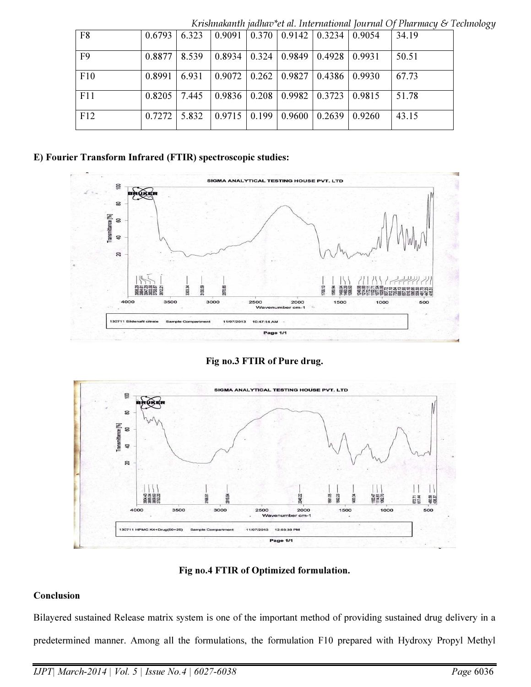|     |                     |       |                                                                   |                                             |  | TVD CONTROLLED TRAINING COME. THE CHARGOINE TOWER THE CHARGING $\cup$ T |
|-----|---------------------|-------|-------------------------------------------------------------------|---------------------------------------------|--|-------------------------------------------------------------------------|
| F8  | $0.6793 \mid 6.323$ |       | $\vert 0.9091 \vert 0.370 \vert 0.9142 \vert 0.3234 \vert 0.9054$ |                                             |  | 34.19                                                                   |
| F9  | 0.8877              | 8.539 |                                                                   | $0.8934$   0.324   0.9849   0.4928   0.9931 |  | 50.51                                                                   |
| F10 | 0.8991              | 6.931 |                                                                   | $0.9072$   0.262   0.9827   0.4386   0.9930 |  | 67.73                                                                   |
| F11 | 0.8205              | 7.445 |                                                                   | $0.9836$   0.208   0.9982   0.3723   0.9815 |  | 51.78                                                                   |
| F12 | $0.7272$ 5.832      |       | $\vert 0.9715 \vert 0.199 \vert 0.9600 \vert 0.2639 \vert 0.9260$ |                                             |  | 43.15                                                                   |

Krishnakanth jadhav\*et al. International Journal Of Pharmacy & Technology

#### E) Fourier Transform Infrared (FTIR) spectroscopic studies:



Fig no.3 FTIR of Pure drug.



Fig no.4 FTIR of Optimized formulation.

## Conclusion

Bilayered sustained Release matrix system is one of the important method of providing sustained drug delivery in a predetermined manner. Among all the formulations, the formulation F10 prepared with Hydroxy Propyl Methyl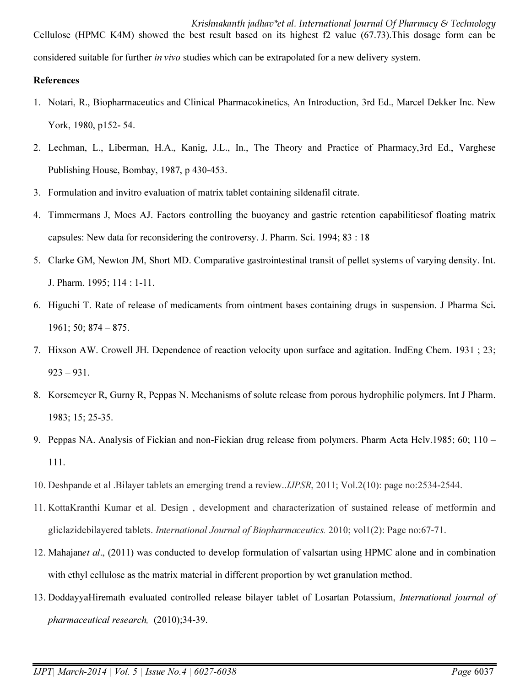Krishnakanth jadhav\*et al. International Journal Of Pharmacy & Technology Cellulose (HPMC K4M) showed the best result based on its highest f2 value (67.73).This dosage form can be considered suitable for further *in vivo* studies which can be extrapolated for a new delivery system.

#### References

- 1. Notari, R., Biopharmaceutics and Clinical Pharmacokinetics, An Introduction, 3rd Ed., Marcel Dekker Inc. New York, 1980, p152- 54.
- 2. Lechman, L., Liberman, H.A., Kanig, J.L., In., The Theory and Practice of Pharmacy,3rd Ed., Varghese Publishing House, Bombay, 1987, p 430-453.
- 3. Formulation and invitro evaluation of matrix tablet containing sildenafil citrate.
- 4. Timmermans J, Moes AJ. Factors controlling the buoyancy and gastric retention capabilitiesof floating matrix capsules: New data for reconsidering the controversy. J. Pharm. Sci. 1994; 83 : 18
- 5. Clarke GM, Newton JM, Short MD. Comparative gastrointestinal transit of pellet systems of varying density. Int. J. Pharm. 1995; 114 : 1-11.
- 6. Higuchi T. Rate of release of medicaments from ointment bases containing drugs in suspension. J Pharma Sci. 1961; 50; 874 – 875.
- 7. Hixson AW. Crowell JH. Dependence of reaction velocity upon surface and agitation. IndEng Chem. 1931 ; 23;  $923 - 931$ .
- 8. Korsemeyer R, Gurny R, Peppas N. Mechanisms of solute release from porous hydrophilic polymers. Int J Pharm. 1983; 15; 25-35.
- 9. Peppas NA. Analysis of Fickian and non-Fickian drug release from polymers. Pharm Acta Helv.1985; 60; 110 111.
- 10. Deshpande et al .Bilayer tablets an emerging trend a review..*IJPSR*, 2011; Vol.2(10): page no:2534-2544.
- 11. KottaKranthi Kumar et al. Design , development and characterization of sustained release of metformin and gliclazidebilayered tablets. *International Journal of Biopharmaceutics.* 2010; vol1(2): Page no:67-71.
- 12. Mahajan*et al*., (2011) was conducted to develop formulation of valsartan using HPMC alone and in combination with ethyl cellulose as the matrix material in different proportion by wet granulation method.
- 13. DoddayyaHiremath evaluated controlled release bilayer tablet of Losartan Potassium, *International journal of pharmaceutical research,* (2010);34-39.